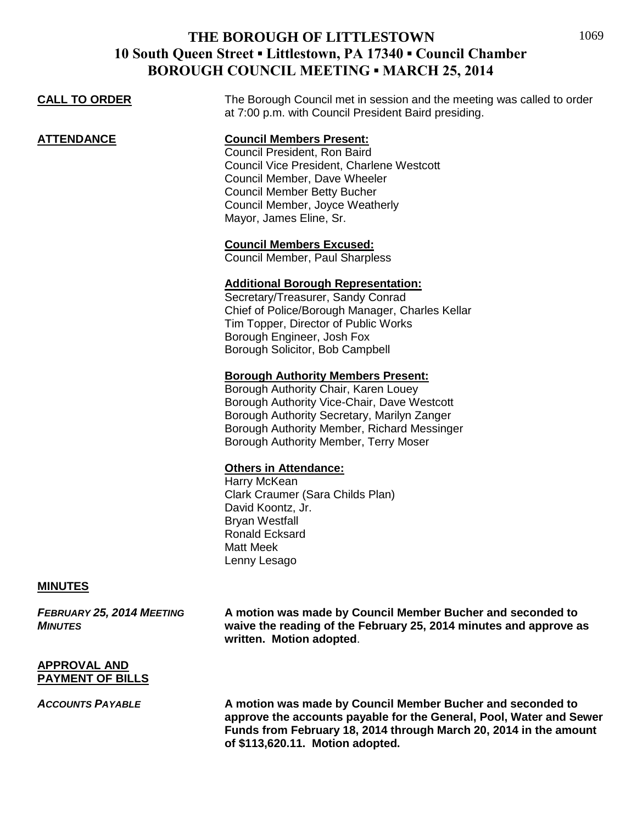|                      | <u>UII CUUNCILI MEETINU – MIMNUH 29, 2017</u>                                                                                                                                                                                                                           |
|----------------------|-------------------------------------------------------------------------------------------------------------------------------------------------------------------------------------------------------------------------------------------------------------------------|
| <b>CALL TO ORDER</b> | The Borough Council met in session and the meeting was called to order<br>at 7:00 p.m. with Council President Baird presiding.                                                                                                                                          |
| ATTENDANCE           | <b>Council Members Present:</b><br>Council President, Ron Baird<br>Council Vice President, Charlene Westcott<br>Council Member, Dave Wheeler<br><b>Council Member Betty Bucher</b><br>Council Member, Joyce Weatherly<br>Mayor, James Eline, Sr.                        |
|                      | <b>Council Members Excused:</b><br>Council Member, Paul Sharpless                                                                                                                                                                                                       |
|                      | <b>Additional Borough Representation:</b><br>Secretary/Treasurer, Sandy Conrad<br>Chief of Police/Borough Manager, Charles Kellar<br>Tim Topper, Director of Public Works<br>Borough Engineer, Josh Fox<br>Borough Solicitor, Bob Campbell                              |
|                      | <b>Borough Authority Members Present:</b><br>Borough Authority Chair, Karen Louey<br>Borough Authority Vice-Chair, Dave Westcott<br>Borough Authority Secretary, Marilyn Zanger<br>Borough Authority Member, Richard Messinger<br>Borough Authority Member, Terry Moser |
|                      | <b>Others in Attendance:</b><br>Harry McKean<br>Clark Craumer (Sara Childs Plan)<br>David Koontz, Jr.<br><b>Bryan Westfall</b><br>Ronald Ecksard                                                                                                                        |

Matt Meek Lenny Lesago

#### **MINUTES**

*FEBRUARY 25, 2014 MEETING* **A motion was made by Council Member Bucher and seconded to**  *MINUTES* **waive the reading of the February 25, 2014 minutes and approve as written. Motion adopted**.

#### **APPROVAL AND PAYMENT OF BILLS**

*ACCOUNTS PAYABLE* **A motion was made by Council Member Bucher and seconded to approve the accounts payable for the General, Pool, Water and Sewer Funds from February 18, 2014 through March 20, 2014 in the amount of \$113,620.11. Motion adopted.**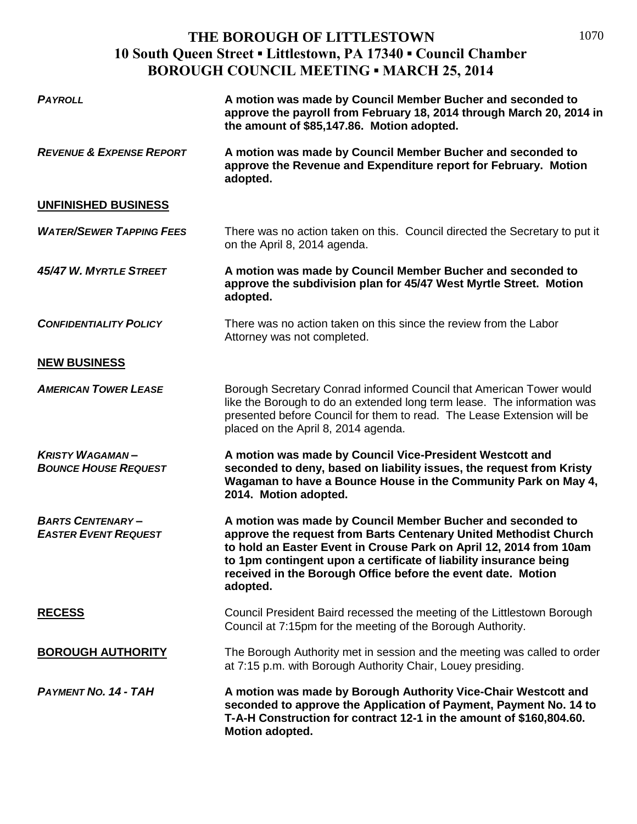| <b>PAYROLL</b>                                         | A motion was made by Council Member Bucher and seconded to<br>approve the payroll from February 18, 2014 through March 20, 2014 in<br>the amount of \$85,147.86. Motion adopted.                                                                                                                                                                      |
|--------------------------------------------------------|-------------------------------------------------------------------------------------------------------------------------------------------------------------------------------------------------------------------------------------------------------------------------------------------------------------------------------------------------------|
| <b>REVENUE &amp; EXPENSE REPORT</b>                    | A motion was made by Council Member Bucher and seconded to<br>approve the Revenue and Expenditure report for February. Motion<br>adopted.                                                                                                                                                                                                             |
| <b>UNFINISHED BUSINESS</b>                             |                                                                                                                                                                                                                                                                                                                                                       |
| <b>WATER/SEWER TAPPING FEES</b>                        | There was no action taken on this. Council directed the Secretary to put it<br>on the April 8, 2014 agenda.                                                                                                                                                                                                                                           |
| 45/47 W. MYRTLE STREET                                 | A motion was made by Council Member Bucher and seconded to<br>approve the subdivision plan for 45/47 West Myrtle Street. Motion<br>adopted.                                                                                                                                                                                                           |
| <b>CONFIDENTIALITY POLICY</b>                          | There was no action taken on this since the review from the Labor<br>Attorney was not completed.                                                                                                                                                                                                                                                      |
| <b>NEW BUSINESS</b>                                    |                                                                                                                                                                                                                                                                                                                                                       |
| <b>AMERICAN TOWER LEASE</b>                            | Borough Secretary Conrad informed Council that American Tower would<br>like the Borough to do an extended long term lease. The information was<br>presented before Council for them to read. The Lease Extension will be<br>placed on the April 8, 2014 agenda.                                                                                       |
| <b>KRISTY WAGAMAN-</b><br><b>BOUNCE HOUSE REQUEST</b>  | A motion was made by Council Vice-President Westcott and<br>seconded to deny, based on liability issues, the request from Kristy<br>Wagaman to have a Bounce House in the Community Park on May 4,<br>2014. Motion adopted.                                                                                                                           |
| <b>BARTS CENTENARY-</b><br><b>EASTER EVENT REQUEST</b> | A motion was made by Council Member Bucher and seconded to<br>approve the request from Barts Centenary United Methodist Church<br>to hold an Easter Event in Crouse Park on April 12, 2014 from 10am<br>to 1pm contingent upon a certificate of liability insurance being<br>received in the Borough Office before the event date. Motion<br>adopted. |
| <b>RECESS</b>                                          | Council President Baird recessed the meeting of the Littlestown Borough<br>Council at 7:15pm for the meeting of the Borough Authority.                                                                                                                                                                                                                |
| <b>BOROUGH AUTHORITY</b>                               | The Borough Authority met in session and the meeting was called to order<br>at 7:15 p.m. with Borough Authority Chair, Louey presiding.                                                                                                                                                                                                               |
| <b>PAYMENT NO. 14 - TAH</b>                            | A motion was made by Borough Authority Vice-Chair Westcott and<br>seconded to approve the Application of Payment, Payment No. 14 to<br>T-A-H Construction for contract 12-1 in the amount of \$160,804.60.<br>Motion adopted.                                                                                                                         |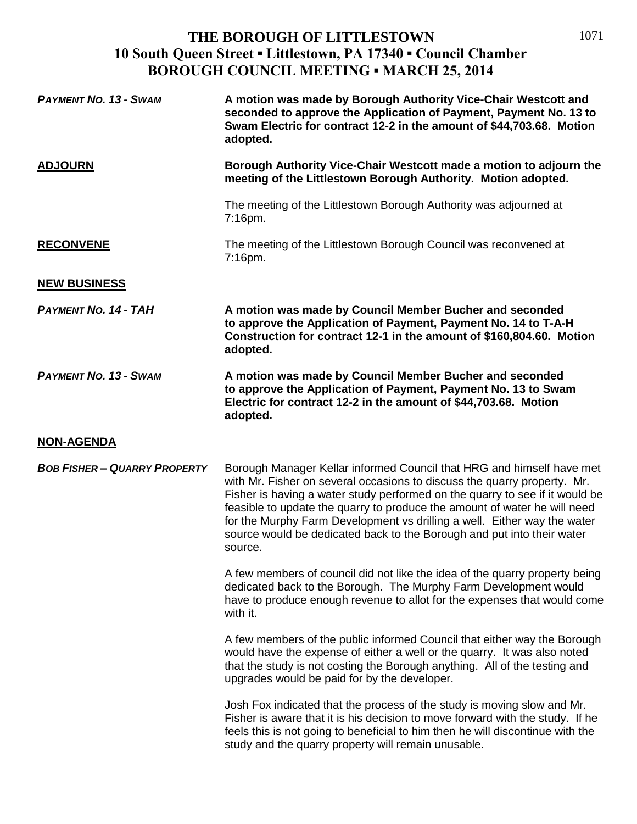| <b>PAYMENT NO. 13 - SWAM</b>        | A motion was made by Borough Authority Vice-Chair Westcott and<br>seconded to approve the Application of Payment, Payment No. 13 to<br>Swam Electric for contract 12-2 in the amount of \$44,703.68. Motion<br>adopted.                                                                                                                                                                                                                                                         |
|-------------------------------------|---------------------------------------------------------------------------------------------------------------------------------------------------------------------------------------------------------------------------------------------------------------------------------------------------------------------------------------------------------------------------------------------------------------------------------------------------------------------------------|
| <b>ADJOURN</b>                      | Borough Authority Vice-Chair Westcott made a motion to adjourn the<br>meeting of the Littlestown Borough Authority. Motion adopted.                                                                                                                                                                                                                                                                                                                                             |
|                                     | The meeting of the Littlestown Borough Authority was adjourned at<br>7:16pm.                                                                                                                                                                                                                                                                                                                                                                                                    |
| <b>RECONVENE</b>                    | The meeting of the Littlestown Borough Council was reconvened at<br>7:16pm.                                                                                                                                                                                                                                                                                                                                                                                                     |
| <b>NEW BUSINESS</b>                 |                                                                                                                                                                                                                                                                                                                                                                                                                                                                                 |
| <b>PAYMENT NO. 14 - TAH</b>         | A motion was made by Council Member Bucher and seconded<br>to approve the Application of Payment, Payment No. 14 to T-A-H<br>Construction for contract 12-1 in the amount of \$160,804.60. Motion<br>adopted.                                                                                                                                                                                                                                                                   |
| <b>PAYMENT NO. 13 - SWAM</b>        | A motion was made by Council Member Bucher and seconded<br>to approve the Application of Payment, Payment No. 13 to Swam<br>Electric for contract 12-2 in the amount of \$44,703.68. Motion<br>adopted.                                                                                                                                                                                                                                                                         |
| <b>NON-AGENDA</b>                   |                                                                                                                                                                                                                                                                                                                                                                                                                                                                                 |
| <b>BOB FISHER - QUARRY PROPERTY</b> | Borough Manager Kellar informed Council that HRG and himself have met<br>with Mr. Fisher on several occasions to discuss the quarry property. Mr.<br>Fisher is having a water study performed on the quarry to see if it would be<br>feasible to update the quarry to produce the amount of water he will need<br>for the Murphy Farm Development vs drilling a well. Either way the water<br>source would be dedicated back to the Borough and put into their water<br>source. |
|                                     | A few members of council did not like the idea of the quarry property being<br>dedicated back to the Borough. The Murphy Farm Development would<br>have to produce enough revenue to allot for the expenses that would come<br>with it.                                                                                                                                                                                                                                         |
|                                     | A few members of the public informed Council that either way the Borough<br>would have the expense of either a well or the quarry. It was also noted<br>that the study is not costing the Borough anything. All of the testing and<br>upgrades would be paid for by the developer.                                                                                                                                                                                              |
|                                     | Josh Fox indicated that the process of the study is moving slow and Mr.<br>Fisher is aware that it is his decision to move forward with the study. If he<br>feels this is not going to beneficial to him then he will discontinue with the<br>study and the quarry property will remain unusable.                                                                                                                                                                               |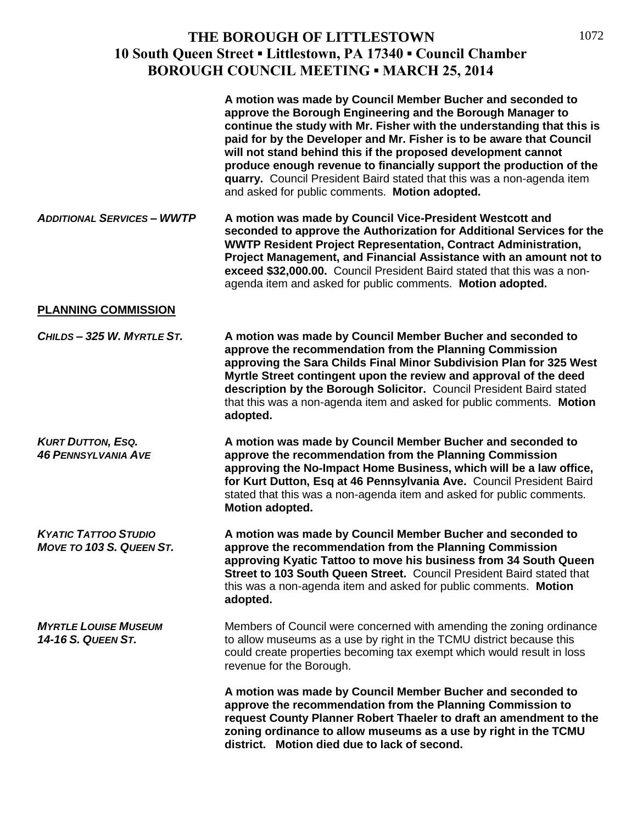|                                                                | A motion was made by Council Member Bucher and seconded to<br>approve the Borough Engineering and the Borough Manager to<br>continue the study with Mr. Fisher with the understanding that this is<br>paid for by the Developer and Mr. Fisher is to be aware that Council<br>will not stand behind this if the proposed development cannot<br>produce enough revenue to financially support the production of the<br>quarry. Council President Baird stated that this was a non-agenda item<br>and asked for public comments. Motion adopted. |
|----------------------------------------------------------------|------------------------------------------------------------------------------------------------------------------------------------------------------------------------------------------------------------------------------------------------------------------------------------------------------------------------------------------------------------------------------------------------------------------------------------------------------------------------------------------------------------------------------------------------|
| <b>ADDITIONAL SERVICES - WWTP</b>                              | A motion was made by Council Vice-President Westcott and<br>seconded to approve the Authorization for Additional Services for the<br><b>WWTP Resident Project Representation, Contract Administration,</b><br>Project Management, and Financial Assistance with an amount not to<br>exceed \$32,000.00. Council President Baird stated that this was a non-<br>agenda item and asked for public comments. Motion adopted.                                                                                                                      |
| <b>PLANNING COMMISSION</b>                                     |                                                                                                                                                                                                                                                                                                                                                                                                                                                                                                                                                |
| CHILDS-325 W. MYRTLE ST.                                       | A motion was made by Council Member Bucher and seconded to<br>approve the recommendation from the Planning Commission<br>approving the Sara Childs Final Minor Subdivision Plan for 325 West<br>Myrtle Street contingent upon the review and approval of the deed<br>description by the Borough Solicitor. Council President Baird stated<br>that this was a non-agenda item and asked for public comments. Motion<br>adopted.                                                                                                                 |
| <b>KURT DUTTON, ESQ.</b><br><b>46 PENNSYLVANIA AVE</b>         | A motion was made by Council Member Bucher and seconded to<br>approve the recommendation from the Planning Commission<br>approving the No-Impact Home Business, which will be a law office,<br>for Kurt Dutton, Esq at 46 Pennsylvania Ave. Council President Baird<br>stated that this was a non-agenda item and asked for public comments.<br>Motion adopted.                                                                                                                                                                                |
| <b>KYATIC TATTOO STUDIO</b><br><b>MOVE TO 103 S. QUEEN ST.</b> | A motion was made by Council Member Bucher and seconded to<br>approve the recommendation from the Planning Commission<br>approving Kyatic Tattoo to move his business from 34 South Queen<br>Street to 103 South Queen Street. Council President Baird stated that<br>this was a non-agenda item and asked for public comments. Motion<br>adopted.                                                                                                                                                                                             |
| <b>MYRTLE LOUISE MUSEUM</b><br><b>14-16 S. QUEEN ST.</b>       | Members of Council were concerned with amending the zoning ordinance<br>to allow museums as a use by right in the TCMU district because this<br>could create properties becoming tax exempt which would result in loss<br>revenue for the Borough.                                                                                                                                                                                                                                                                                             |
|                                                                | A motion was made by Council Member Bucher and seconded to<br>approve the recommendation from the Planning Commission to<br>request County Planner Robert Thaeler to draft an amendment to the<br>zoning ordinance to allow museums as a use by right in the TCMU<br>district. Motion died due to lack of second.                                                                                                                                                                                                                              |